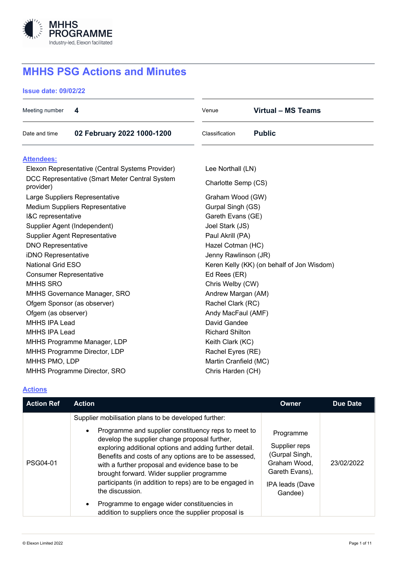

# **MHHS PSG Actions and Minutes**

**Issue date: 09/02/22**

| Meeting number                                              | 4                              | Venue                                      | Virtual – MS Teams |  |
|-------------------------------------------------------------|--------------------------------|--------------------------------------------|--------------------|--|
| Date and time                                               | 02 February 2022 1000-1200     | Classification                             | <b>Public</b>      |  |
| <b>Attendees:</b>                                           |                                |                                            |                    |  |
| Elexon Representative (Central Systems Provider)            |                                | Lee Northall (LN)                          |                    |  |
| DCC Representative (Smart Meter Central System<br>provider) |                                | Charlotte Semp (CS)                        |                    |  |
|                                                             | Large Suppliers Representative | Graham Wood (GW)                           |                    |  |
| <b>Medium Suppliers Representative</b>                      |                                | Gurpal Singh (GS)                          |                    |  |
| I&C representative                                          |                                | Gareth Evans (GE)                          |                    |  |
| Supplier Agent (Independent)                                |                                | Joel Stark (JS)                            |                    |  |
| <b>Supplier Agent Representative</b>                        |                                | Paul Akrill (PA)                           |                    |  |
| <b>DNO Representative</b>                                   |                                | Hazel Cotman (HC)                          |                    |  |
| iDNO Representative                                         |                                | Jenny Rawlinson (JR)                       |                    |  |
| <b>National Grid ESO</b>                                    |                                | Keren Kelly (KK) (on behalf of Jon Wisdom) |                    |  |
| <b>Consumer Representative</b>                              |                                | Ed Rees (ER)                               |                    |  |
| <b>MHHS SRO</b>                                             |                                | Chris Welby (CW)                           |                    |  |
| MHHS Governance Manager, SRO                                |                                | Andrew Margan (AM)                         |                    |  |
| Ofgem Sponsor (as observer)                                 |                                | Rachel Clark (RC)                          |                    |  |
| Ofgem (as observer)                                         |                                | Andy MacFaul (AMF)                         |                    |  |
| <b>MHHS IPA Lead</b>                                        |                                | David Gandee                               |                    |  |
| <b>MHHS IPA Lead</b>                                        |                                | <b>Richard Shilton</b>                     |                    |  |
| MHHS Programme Manager, LDP                                 |                                | Keith Clark (KC)                           |                    |  |
| MHHS Programme Director, LDP                                |                                | Rachel Eyres (RE)                          |                    |  |
| MHHS PMO, LDP                                               |                                | Martin Cranfield (MC)                      |                    |  |
| MHHS Programme Director, SRO                                |                                | Chris Harden (CH)                          |                    |  |

# **Actions**

| <b>Action Ref</b> | <b>Action</b>                                                                                                                                                                                                                                                                                                                                                                                                                                                                                                 | <b>Owner</b>                                                                                                        | <b>Due Date</b> |
|-------------------|---------------------------------------------------------------------------------------------------------------------------------------------------------------------------------------------------------------------------------------------------------------------------------------------------------------------------------------------------------------------------------------------------------------------------------------------------------------------------------------------------------------|---------------------------------------------------------------------------------------------------------------------|-----------------|
| PSG04-01          | Supplier mobilisation plans to be developed further:<br>Programme and supplier constituency reps to meet to<br>develop the supplier change proposal further,<br>exploring additional options and adding further detail.<br>Benefits and costs of any options are to be assessed,<br>with a further proposal and evidence base to be<br>brought forward. Wider supplier programme<br>participants (in addition to reps) are to be engaged in<br>the discussion.<br>Programme to engage wider constituencies in | Programme<br>Supplier reps<br>(Gurpal Singh,<br>Graham Wood,<br>Gareth Evans),<br><b>IPA leads (Dave</b><br>Gandee) | 23/02/2022      |
|                   | addition to suppliers once the supplier proposal is                                                                                                                                                                                                                                                                                                                                                                                                                                                           |                                                                                                                     |                 |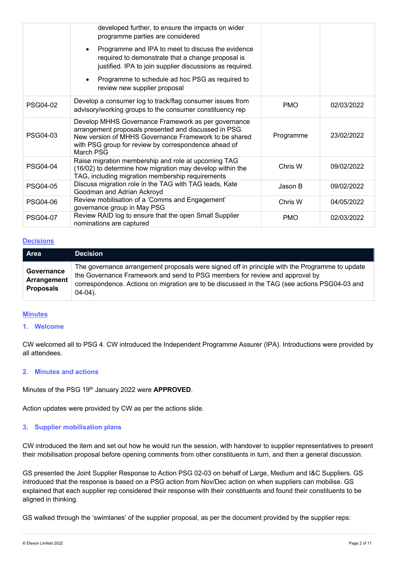|                 | developed further, to ensure the impacts on wider<br>programme parties are considered                                                                                                                                                      |            |            |
|-----------------|--------------------------------------------------------------------------------------------------------------------------------------------------------------------------------------------------------------------------------------------|------------|------------|
|                 | Programme and IPA to meet to discuss the evidence<br>required to demonstrate that a change proposal is<br>justified. IPA to join supplier discussions as required.                                                                         |            |            |
|                 | Programme to schedule ad hoc PSG as required to<br>review new supplier proposal                                                                                                                                                            |            |            |
| PSG04-02        | Develop a consumer log to track/flag consumer issues from<br>advisory/working groups to the consumer constituency rep                                                                                                                      | <b>PMO</b> | 02/03/2022 |
| PSG04-03        | Develop MHHS Governance Framework as per governance<br>arrangement proposals presented and discussed in PSG.<br>New version of MHHS Governance Framework to be shared<br>with PSG group for review by correspondence ahead of<br>March PSG | Programme  | 23/02/2022 |
| PSG04-04        | Raise migration membership and role at upcoming TAG<br>(16/02) to determine how migration may develop within the<br>TAG, including migration membership requirements                                                                       | Chris W    | 09/02/2022 |
| <b>PSG04-05</b> | Discuss migration role in the TAG with TAG leads, Kate<br>Goodman and Adrian Ackroyd                                                                                                                                                       | Jason B    | 09/02/2022 |
| <b>PSG04-06</b> | Review mobilisation of a 'Comms and Engagement'<br>governance group in May PSG                                                                                                                                                             | Chris W    | 04/05/2022 |
| <b>PSG04-07</b> | Review RAID log to ensure that the open Small Supplier<br>nominations are captured                                                                                                                                                         | <b>PMO</b> | 02/03/2022 |

#### **Decisions**

| <b>Area</b>                                   | <b>Decision</b>                                                                                                                                                                                                                                                                              |
|-----------------------------------------------|----------------------------------------------------------------------------------------------------------------------------------------------------------------------------------------------------------------------------------------------------------------------------------------------|
| Governance<br>Arrangement<br><b>Proposals</b> | The governance arrangement proposals were signed off in principle with the Programme to update<br>the Governance Framework and send to PSG members for review and approval by<br>correspondence. Actions on migration are to be discussed in the TAG (see actions PSG04-03 and<br>$04-04$ ). |

#### **Minutes**

# **1. Welcome**

CW welcomed all to PSG 4. CW introduced the Independent Programme Assurer (IPA). Introductions were provided by all attendees.

## **2. Minutes and actions**

Minutes of the PSG 19th January 2022 were **APPROVED**.

Action updates were provided by CW as per the actions slide.

## **3. Supplier mobilisation plans**

CW introduced the item and set out how he would run the session, with handover to supplier representatives to present their mobilisation proposal before opening comments from other constituents in turn, and then a general discussion.

GS presented the Joint Supplier Response to Action PSG 02-03 on behalf of Large, Medium and I&C Suppliers. GS introduced that the response is based on a PSG action from Nov/Dec action on when suppliers can mobilise. GS explained that each supplier rep considered their response with their constituents and found their constituents to be aligned in thinking.

GS walked through the 'swimlanes' of the supplier proposal, as per the document provided by the supplier reps: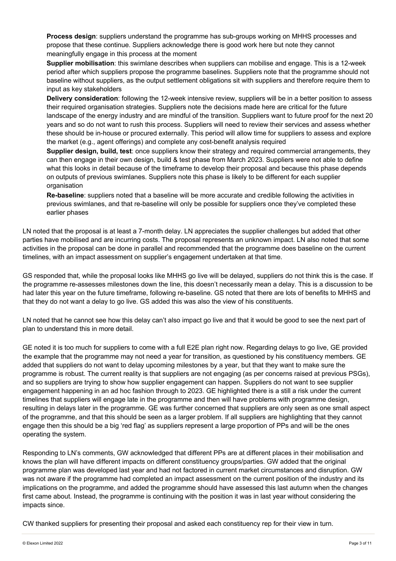**Process design**: suppliers understand the programme has sub-groups working on MHHS processes and propose that these continue. Suppliers acknowledge there is good work here but note they cannot meaningfully engage in this process at the moment

**Supplier mobilisation**: this swimlane describes when suppliers can mobilise and engage. This is a 12-week period after which suppliers propose the programme baselines. Suppliers note that the programme should not baseline without suppliers, as the output settlement obligations sit with suppliers and therefore require them to input as key stakeholders

**Delivery consideration**: following the 12-week intensive review, suppliers will be in a better position to assess their required organisation strategies. Suppliers note the decisions made here are critical for the future landscape of the energy industry and are mindful of the transition. Suppliers want to future proof for the next 20 years and so do not want to rush this process. Suppliers will need to review their services and assess whether these should be in-house or procured externally. This period will allow time for suppliers to assess and explore the market (e.g., agent offerings) and complete any cost-benefit analysis required

**Supplier design, build, test**: once suppliers know their strategy and required commercial arrangements, they can then engage in their own design, build & test phase from March 2023. Suppliers were not able to define what this looks in detail because of the timeframe to develop their proposal and because this phase depends on outputs of previous swimlanes. Suppliers note this phase is likely to be different for each supplier organisation

**Re-baseline**: suppliers noted that a baseline will be more accurate and credible following the activities in previous swimlanes, and that re-baseline will only be possible for suppliers once they've completed these earlier phases

LN noted that the proposal is at least a 7-month delay. LN appreciates the supplier challenges but added that other parties have mobilised and are incurring costs. The proposal represents an unknown impact. LN also noted that some activities in the proposal can be done in parallel and recommended that the programme does baseline on the current timelines, with an impact assessment on supplier's engagement undertaken at that time.

GS responded that, while the proposal looks like MHHS go live will be delayed, suppliers do not think this is the case. If the programme re-assesses milestones down the line, this doesn't necessarily mean a delay. This is a discussion to be had later this year on the future timeframe, following re-baseline. GS noted that there are lots of benefits to MHHS and that they do not want a delay to go live. GS added this was also the view of his constituents.

LN noted that he cannot see how this delay can't also impact go live and that it would be good to see the next part of plan to understand this in more detail.

GE noted it is too much for suppliers to come with a full E2E plan right now. Regarding delays to go live, GE provided the example that the programme may not need a year for transition, as questioned by his constituency members. GE added that suppliers do not want to delay upcoming milestones by a year, but that they want to make sure the programme is robust. The current reality is that suppliers are not engaging (as per concerns raised at previous PSGs), and so suppliers are trying to show how supplier engagement can happen. Suppliers do not want to see supplier engagement happening in an ad hoc fashion through to 2023. GE highlighted there is a still a risk under the current timelines that suppliers will engage late in the programme and then will have problems with programme design, resulting in delays later in the programme. GE was further concerned that suppliers are only seen as one small aspect of the programme, and that this should be seen as a larger problem. If all suppliers are highlighting that they cannot engage then this should be a big 'red flag' as suppliers represent a large proportion of PPs and will be the ones operating the system.

Responding to LN's comments, GW acknowledged that different PPs are at different places in their mobilisation and knows the plan will have different impacts on different constituency groups/parties. GW added that the original programme plan was developed last year and had not factored in current market circumstances and disruption. GW was not aware if the programme had completed an impact assessment on the current position of the industry and its implications on the programme, and added the programme should have assessed this last autumn when the changes first came about. Instead, the programme is continuing with the position it was in last year without considering the impacts since.

CW thanked suppliers for presenting their proposal and asked each constituency rep for their view in turn.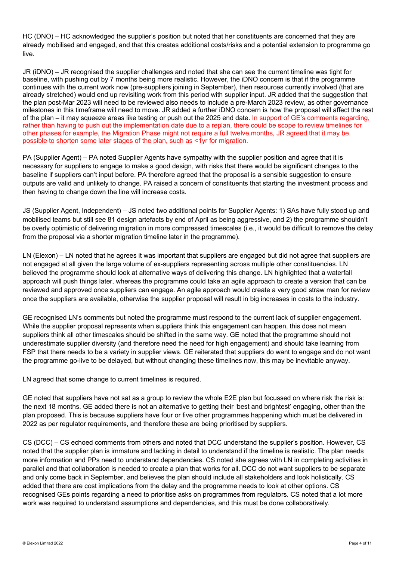HC (DNO) – HC acknowledged the supplier's position but noted that her constituents are concerned that they are already mobilised and engaged, and that this creates additional costs/risks and a potential extension to programme go live.

JR (iDNO) – JR recognised the supplier challenges and noted that she can see the current timeline was tight for baseline, with pushing out by 7 months being more realistic. However, the iDNO concern is that if the programme continues with the current work now (pre-suppliers joining in September), then resources currently involved (that are already stretched) would end up revisiting work from this period with supplier input. JR added that the suggestion that the plan post-Mar 2023 will need to be reviewed also needs to include a pre-March 2023 review, as other governance milestones in this timeframe will need to move. JR added a further iDNO concern is how the proposal will affect the rest of the plan – it may squeeze areas like testing or push out the 2025 end date. In support of GE's comments regarding, rather than having to push out the implementation date due to a replan, there could be scope to review timelines for other phases for example, the Migration Phase might not require a full twelve months, JR agreed that it may be possible to shorten some later stages of the plan, such as <1yr for migration.

PA (Supplier Agent) – PA noted Supplier Agents have sympathy with the supplier position and agree that it is necessary for suppliers to engage to make a good design, with risks that there would be significant changes to the baseline if suppliers can't input before. PA therefore agreed that the proposal is a sensible suggestion to ensure outputs are valid and unlikely to change. PA raised a concern of constituents that starting the investment process and then having to change down the line will increase costs.

JS (Supplier Agent, Independent) – JS noted two additional points for Supplier Agents: 1) SAs have fully stood up and mobilised teams but still see 81 design artefacts by end of April as being aggressive, and 2) the programme shouldn't be overly optimistic of delivering migration in more compressed timescales (i.e., it would be difficult to remove the delay from the proposal via a shorter migration timeline later in the programme).

LN (Elexon) – LN noted that he agrees it was important that suppliers are engaged but did not agree that suppliers are not engaged at all given the large volume of ex-suppliers representing across multiple other constituencies. LN believed the programme should look at alternative ways of delivering this change. LN highlighted that a waterfall approach will push things later, whereas the programme could take an agile approach to create a version that can be reviewed and approved once suppliers can engage. An agile approach would create a very good straw man for review once the suppliers are available, otherwise the supplier proposal will result in big increases in costs to the industry.

GE recognised LN's comments but noted the programme must respond to the current lack of supplier engagement. While the supplier proposal represents when suppliers think this engagement can happen, this does not mean suppliers think all other timescales should be shifted in the same way. GE noted that the programme should not underestimate supplier diversity (and therefore need the need for high engagement) and should take learning from FSP that there needs to be a variety in supplier views. GE reiterated that suppliers do want to engage and do not want the programme go-live to be delayed, but without changing these timelines now, this may be inevitable anyway.

LN agreed that some change to current timelines is required.

GE noted that suppliers have not sat as a group to review the whole E2E plan but focussed on where risk the risk is: the next 18 months. GE added there is not an alternative to getting their 'best and brightest' engaging, other than the plan proposed. This is because suppliers have four or five other programmes happening which must be delivered in 2022 as per regulator requirements, and therefore these are being prioritised by suppliers.

CS (DCC) – CS echoed comments from others and noted that DCC understand the supplier's position. However, CS noted that the supplier plan is immature and lacking in detail to understand if the timeline is realistic. The plan needs more information and PPs need to understand dependencies. CS noted she agrees with LN in completing activities in parallel and that collaboration is needed to create a plan that works for all. DCC do not want suppliers to be separate and only come back in September, and believes the plan should include all stakeholders and look holistically. CS added that there are cost implications from the delay and the programme needs to look at other options. CS recognised GEs points regarding a need to prioritise asks on programmes from regulators. CS noted that a lot more work was required to understand assumptions and dependencies, and this must be done collaboratively.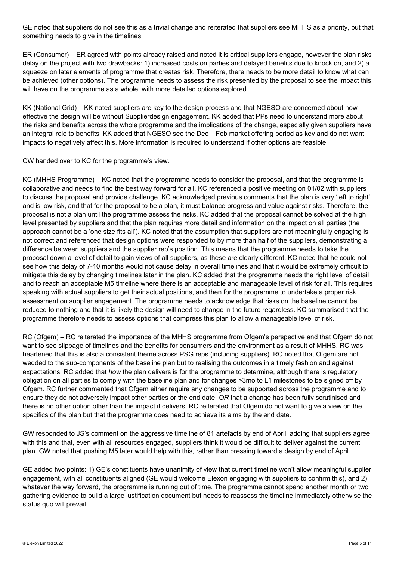GE noted that suppliers do not see this as a trivial change and reiterated that suppliers see MHHS as a priority, but that something needs to give in the timelines.

ER (Consumer) – ER agreed with points already raised and noted it is critical suppliers engage, however the plan risks delay on the project with two drawbacks: 1) increased costs on parties and delayed benefits due to knock on, and 2) a squeeze on later elements of programme that creates risk. Therefore, there needs to be more detail to know what can be achieved (other options). The programme needs to assess the risk presented by the proposal to see the impact this will have on the programme as a whole, with more detailed options explored.

KK (National Grid) – KK noted suppliers are key to the design process and that NGESO are concerned about how effective the design will be without Supplierdesign engagement. KK added that PPs need to understand more about the risks and benefits across the whole programme and the implications of the change, especially given suppliers have an integral role to benefits. KK added that NGESO see the Dec – Feb market offering period as key and do not want impacts to negatively affect this. More information is required to understand if other options are feasible.

CW handed over to KC for the programme's view.

KC (MHHS Programme) – KC noted that the programme needs to consider the proposal, and that the programme is collaborative and needs to find the best way forward for all. KC referenced a positive meeting on 01/02 with suppliers to discuss the proposal and provide challenge. KC acknowledged previous comments that the plan is very 'left to right' and is low risk, and that for the proposal to be a plan, it must balance progress and value against risks. Therefore, the proposal is not a plan until the programme assess the risks. KC added that the proposal cannot be solved at the high level presented by suppliers and that the plan requires more detail and information on the impact on all parties (the approach cannot be a 'one size fits all'). KC noted that the assumption that suppliers are not meaningfully engaging is not correct and referenced that design options were responded to by more than half of the suppliers, demonstrating a difference between suppliers and the supplier rep's position. This means that the programme needs to take the proposal down a level of detail to gain views of all suppliers, as these are clearly different. KC noted that he could not see how this delay of 7-10 months would not cause delay in overall timelines and that it would be extremely difficult to mitigate this delay by changing timelines later in the plan. KC added that the programme needs the right level of detail and to reach an acceptable M5 timeline where there is an acceptable and manageable level of risk for all. This requires speaking with actual suppliers to get their actual positions, and then for the programme to undertake a proper risk assessment on supplier engagement. The programme needs to acknowledge that risks on the baseline cannot be reduced to nothing and that it is likely the design will need to change in the future regardless. KC summarised that the programme therefore needs to assess options that compress this plan to allow a manageable level of risk.

RC (Ofgem) – RC reiterated the importance of the MHHS programme from Ofgem's perspective and that Ofgem do not want to see slippage of timelines and the benefits for consumers and the environment as a result of MHHS. RC was heartened that this is also a consistent theme across PSG reps (including suppliers). RC noted that Ofgem are not wedded to the sub-components of the baseline plan but to realising the outcomes in a timely fashion and against expectations. RC added that *how* the plan delivers is for the programme to determine, although there is regulatory obligation on all parties to comply with the baseline plan and for changes >3mo to L1 milestones to be signed off by Ofgem. RC further commented that Ofgem either require any changes to be supported across the programme and to ensure they do not adversely impact other parties or the end date, *OR* that a change has been fully scrutinised and there is no other option other than the impact it delivers. RC reiterated that Ofgem do not want to give a view on the specifics of the plan but that the programme does need to achieve its aims by the end date.

GW responded to JS's comment on the aggressive timeline of 81 artefacts by end of April, adding that suppliers agree with this and that, even with all resources engaged, suppliers think it would be difficult to deliver against the current plan. GW noted that pushing M5 later would help with this, rather than pressing toward a design by end of April.

GE added two points: 1) GE's constituents have unanimity of view that current timeline won't allow meaningful supplier engagement, with all constituents aligned (GE would welcome Elexon engaging with suppliers to confirm this), and 2) whatever the way forward, the programme is running out of time. The programme cannot spend another month or two gathering evidence to build a large justification document but needs to reassess the timeline immediately otherwise the status quo will prevail.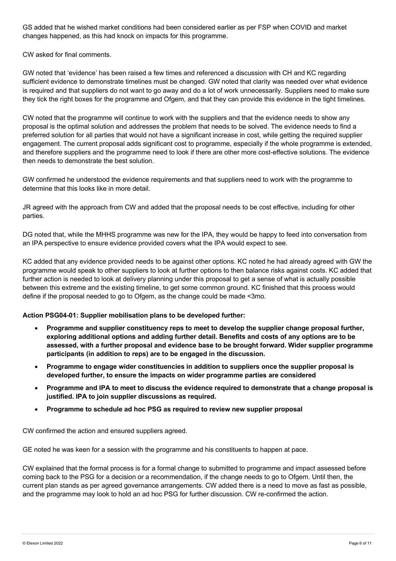GS added that he wished market conditions had been considered earlier as per FSP when COVID and market changes happened, as this had knock on impacts for this programme.

CW asked for final comments.

GW noted that 'evidence' has been raised a few times and referenced a discussion with CH and KC regarding sufficient evidence to demonstrate timelines must be changed. GW noted that clarity was needed over what evidence is required and that suppliers do not want to go away and do a lot of work unnecessarily. Suppliers need to make sure they tick the right boxes for the programme and Ofgem, and that they can provide this evidence in the tight timelines.

CW noted that the programme will continue to work with the suppliers and that the evidence needs to show any proposal is the optimal solution and addresses the problem that needs to be solved. The evidence needs to find a preferred solution for all parties that would not have a significant increase in cost, while getting the required supplier engagement. The current proposal adds significant cost to programme, especially if the whole programme is extended, and therefore suppliers and the programme need to look if there are other more cost-effective solutions. The evidence then needs to demonstrate the best solution.

GW confirmed he understood the evidence requirements and that suppliers need to work with the programme to determine that this looks like in more detail.

JR agreed with the approach from CW and added that the proposal needs to be cost effective, including for other parties.

DG noted that, while the MHHS programme was new for the IPA, they would be happy to feed into conversation from an IPA perspective to ensure evidence provided covers what the IPA would expect to see.

KC added that any evidence provided needs to be against other options. KC noted he had already agreed with GW the programme would speak to other suppliers to look at further options to then balance risks against costs. KC added that further action is needed to look at delivery planning under this proposal to get a sense of what is actually possible between this extreme and the existing timeline, to get some common ground. KC finished that this process would define if the proposal needed to go to Ofgem, as the change could be made <3mo.

# **Action PSG04-01: Supplier mobilisation plans to be developed further:**

- **Programme and supplier constituency reps to meet to develop the supplier change proposal further, exploring additional options and adding further detail. Benefits and costs of any options are to be assessed, with a further proposal and evidence base to be brought forward. Wider supplier programme participants (in addition to reps) are to be engaged in the discussion.**
- **Programme to engage wider constituencies in addition to suppliers once the supplier proposal is developed further, to ensure the impacts on wider programme parties are considered**
- **Programme and IPA to meet to discuss the evidence required to demonstrate that a change proposal is justified. IPA to join supplier discussions as required.**
- **Programme to schedule ad hoc PSG as required to review new supplier proposal**

CW confirmed the action and ensured suppliers agreed.

GE noted he was keen for a session with the programme and his constituents to happen at pace.

CW explained that the formal process is for a formal change to submitted to programme and impact assessed before coming back to the PSG for a decision or a recommendation, if the change needs to go to Ofgem. Until then, the current plan stands as per agreed governance arrangements. CW added there is a need to move as fast as possible, and the programme may look to hold an ad hoc PSG for further discussion. CW re-confirmed the action.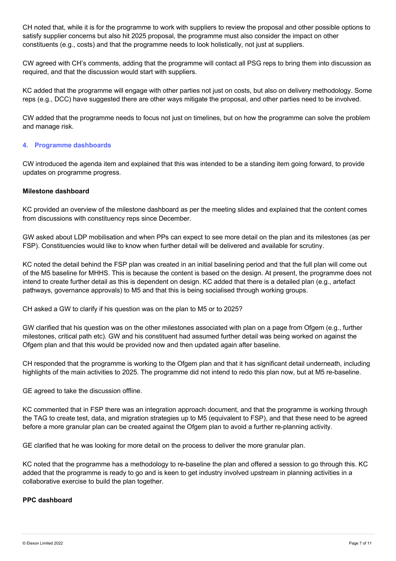CH noted that, while it is for the programme to work with suppliers to review the proposal and other possible options to satisfy supplier concerns but also hit 2025 proposal, the programme must also consider the impact on other constituents (e.g., costs) and that the programme needs to look holistically, not just at suppliers.

CW agreed with CH's comments, adding that the programme will contact all PSG reps to bring them into discussion as required, and that the discussion would start with suppliers.

KC added that the programme will engage with other parties not just on costs, but also on delivery methodology. Some reps (e.g., DCC) have suggested there are other ways mitigate the proposal, and other parties need to be involved.

CW added that the programme needs to focus not just on timelines, but on how the programme can solve the problem and manage risk.

# **4. Programme dashboards**

CW introduced the agenda item and explained that this was intended to be a standing item going forward, to provide updates on programme progress.

# **Milestone dashboard**

KC provided an overview of the milestone dashboard as per the meeting slides and explained that the content comes from discussions with constituency reps since December.

GW asked about LDP mobilisation and when PPs can expect to see more detail on the plan and its milestones (as per FSP). Constituencies would like to know when further detail will be delivered and available for scrutiny.

KC noted the detail behind the FSP plan was created in an initial baselining period and that the full plan will come out of the M5 baseline for MHHS. This is because the content is based on the design. At present, the programme does not intend to create further detail as this is dependent on design. KC added that there is a detailed plan (e.g., artefact pathways, governance approvals) to M5 and that this is being socialised through working groups.

CH asked a GW to clarify if his question was on the plan to M5 or to 2025?

GW clarified that his question was on the other milestones associated with plan on a page from Ofgem (e.g., further milestones, critical path etc). GW and his constituent had assumed further detail was being worked on against the Ofgem plan and that this would be provided now and then updated again after baseline.

CH responded that the programme is working to the Ofgem plan and that it has significant detail underneath, including highlights of the main activities to 2025. The programme did not intend to redo this plan now, but at M5 re-baseline.

GE agreed to take the discussion offline.

KC commented that in FSP there was an integration approach document, and that the programme is working through the TAG to create test, data, and migration strategies up to M5 (equivalent to FSP), and that these need to be agreed before a more granular plan can be created against the Ofgem plan to avoid a further re-planning activity.

GE clarified that he was looking for more detail on the process to deliver the more granular plan.

KC noted that the programme has a methodology to re-baseline the plan and offered a session to go through this. KC added that the programme is ready to go and is keen to get industry involved upstream in planning activities in a collaborative exercise to build the plan together.

# **PPC dashboard**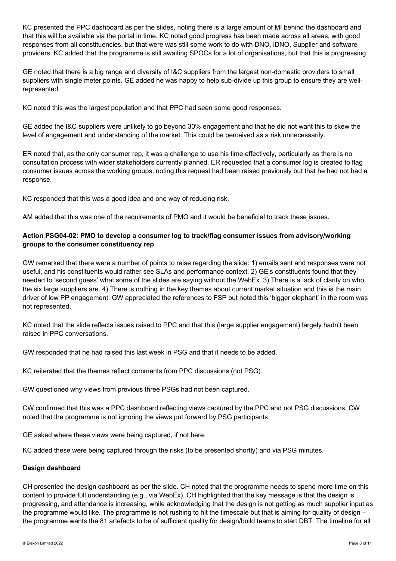KC presented the PPC dashboard as per the slides, noting there is a large amount of MI behind the dashboard and that this will be available via the portal in time. KC noted good progress has been made across all areas, with good responses from all constituencies, but that were was still some work to do with DNO, iDNO, Supplier and software providers. KC added that the programme is still awaiting SPOCs for a lot of organisations, but that this is progressing.

GE noted that there is a big range and diversity of I&C suppliers from the largest non-domestic providers to small suppliers with single meter points. GE added he was happy to help sub-divide up this group to ensure they are wellrepresented.

KC noted this was the largest population and that PPC had seen some good responses.

GE added the I&C suppliers were unlikely to go beyond 30% engagement and that he did not want this to skew the level of engagement and understanding of the market. This could be perceived as a risk unnecessarily.

ER noted that, as the only consumer rep, it was a challenge to use his time effectively, particularly as there is no consultation process with wider stakeholders currently planned. ER requested that a consumer log is created to flag consumer issues across the working groups, noting this request had been raised previously but that he had not had a response.

KC responded that this was a good idea and one way of reducing risk.

AM added that this was one of the requirements of PMO and it would be beneficial to track these issues.

# **Action PSG04-02: PMO to develop a consumer log to track/flag consumer issues from advisory/working groups to the consumer constituency rep**

GW remarked that there were a number of points to raise regarding the slide: 1) emails sent and responses were not useful, and his constituents would rather see SLAs and performance context. 2) GE's constituents found that they needed to 'second guess' what some of the slides are saying without the WebEx. 3) There is a lack of clarity on who the six large suppliers are. 4) There is nothing in the key themes about current market situation and this is the main driver of low PP engagement. GW appreciated the references to FSP but noted this 'bigger elephant' in the room was not represented.

KC noted that the slide reflects issues raised to PPC and that this (large supplier engagement) largely hadn't been raised in PPC conversations.

GW responded that he had raised this last week in PSG and that it needs to be added.

KC reiterated that the themes reflect comments from PPC discussions (not PSG).

GW questioned why views from previous three PSGs had not been captured.

CW confirmed that this was a PPC dashboard reflecting views captured by the PPC and not PSG discussions. CW noted that the programme is not ignoring the views put forward by PSG participants.

GE asked where these views were being captured, if not here.

KC added these were being captured through the risks (to be presented shortly) and via PSG minutes.

#### **Design dashboard**

CH presented the design dashboard as per the slide. CH noted that the programme needs to spend more time on this content to provide full understanding (e.g., via WebEx). CH highlighted that the key message is that the design is progressing, and attendance is increasing, while acknowledging that the design is not getting as much supplier input as the programme would like. The programme is not rushing to hit the timescale but that is aiming for quality of design – the programme wants the 81 artefacts to be of sufficient quality for design/build teams to start DBT. The timeline for all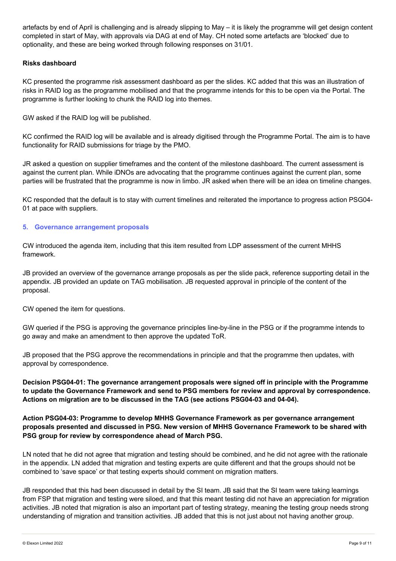artefacts by end of April is challenging and is already slipping to May – it is likely the programme will get design content completed in start of May, with approvals via DAG at end of May. CH noted some artefacts are 'blocked' due to optionality, and these are being worked through following responses on 31/01.

# **Risks dashboard**

KC presented the programme risk assessment dashboard as per the slides. KC added that this was an illustration of risks in RAID log as the programme mobilised and that the programme intends for this to be open via the Portal. The programme is further looking to chunk the RAID log into themes.

GW asked if the RAID log will be published.

KC confirmed the RAID log will be available and is already digitised through the Programme Portal. The aim is to have functionality for RAID submissions for triage by the PMO.

JR asked a question on supplier timeframes and the content of the milestone dashboard. The current assessment is against the current plan. While iDNOs are advocating that the programme continues against the current plan, some parties will be frustrated that the programme is now in limbo. JR asked when there will be an idea on timeline changes.

KC responded that the default is to stay with current timelines and reiterated the importance to progress action PSG04- 01 at pace with suppliers.

#### **5. Governance arrangement proposals**

CW introduced the agenda item, including that this item resulted from LDP assessment of the current MHHS framework.

JB provided an overview of the governance arrange proposals as per the slide pack, reference supporting detail in the appendix. JB provided an update on TAG mobilisation. JB requested approval in principle of the content of the proposal.

CW opened the item for questions.

GW queried if the PSG is approving the governance principles line-by-line in the PSG or if the programme intends to go away and make an amendment to then approve the updated ToR.

JB proposed that the PSG approve the recommendations in principle and that the programme then updates, with approval by correspondence.

**Decision PSG04-01: The governance arrangement proposals were signed off in principle with the Programme to update the Governance Framework and send to PSG members for review and approval by correspondence. Actions on migration are to be discussed in the TAG (see actions PSG04-03 and 04-04).**

**Action PSG04-03: Programme to develop MHHS Governance Framework as per governance arrangement proposals presented and discussed in PSG. New version of MHHS Governance Framework to be shared with PSG group for review by correspondence ahead of March PSG.**

LN noted that he did not agree that migration and testing should be combined, and he did not agree with the rationale in the appendix. LN added that migration and testing experts are quite different and that the groups should not be combined to 'save space' or that testing experts should comment on migration matters.

JB responded that this had been discussed in detail by the SI team. JB said that the SI team were taking learnings from FSP that migration and testing were siloed, and that this meant testing did not have an appreciation for migration activities. JB noted that migration is also an important part of testing strategy, meaning the testing group needs strong understanding of migration and transition activities. JB added that this is not just about not having another group.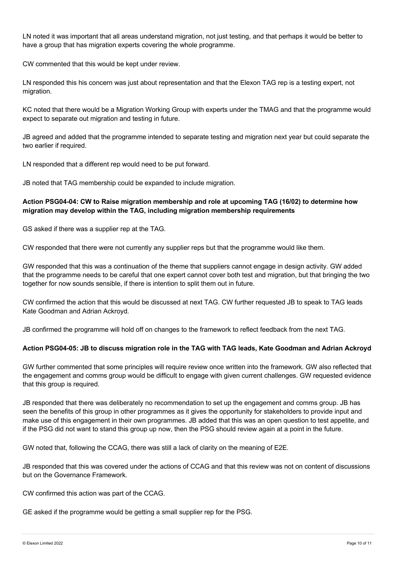LN noted it was important that all areas understand migration, not just testing, and that perhaps it would be better to have a group that has migration experts covering the whole programme.

CW commented that this would be kept under review.

LN responded this his concern was just about representation and that the Elexon TAG rep is a testing expert, not migration.

KC noted that there would be a Migration Working Group with experts under the TMAG and that the programme would expect to separate out migration and testing in future.

JB agreed and added that the programme intended to separate testing and migration next year but could separate the two earlier if required.

LN responded that a different rep would need to be put forward.

JB noted that TAG membership could be expanded to include migration.

# **Action PSG04-04: CW to Raise migration membership and role at upcoming TAG (16/02) to determine how migration may develop within the TAG, including migration membership requirements**

GS asked if there was a supplier rep at the TAG.

CW responded that there were not currently any supplier reps but that the programme would like them.

GW responded that this was a continuation of the theme that suppliers cannot engage in design activity. GW added that the programme needs to be careful that one expert cannot cover both test and migration, but that bringing the two together for now sounds sensible, if there is intention to split them out in future.

CW confirmed the action that this would be discussed at next TAG. CW further requested JB to speak to TAG leads Kate Goodman and Adrian Ackroyd.

JB confirmed the programme will hold off on changes to the framework to reflect feedback from the next TAG.

# **Action PSG04-05: JB to discuss migration role in the TAG with TAG leads, Kate Goodman and Adrian Ackroyd**

GW further commented that some principles will require review once written into the framework. GW also reflected that the engagement and comms group would be difficult to engage with given current challenges. GW requested evidence that this group is required.

JB responded that there was deliberately no recommendation to set up the engagement and comms group. JB has seen the benefits of this group in other programmes as it gives the opportunity for stakeholders to provide input and make use of this engagement in their own programmes. JB added that this was an open question to test appetite, and if the PSG did not want to stand this group up now, then the PSG should review again at a point in the future.

GW noted that, following the CCAG, there was still a lack of clarity on the meaning of E2E.

JB responded that this was covered under the actions of CCAG and that this review was not on content of discussions but on the Governance Framework.

CW confirmed this action was part of the CCAG.

GE asked if the programme would be getting a small supplier rep for the PSG.